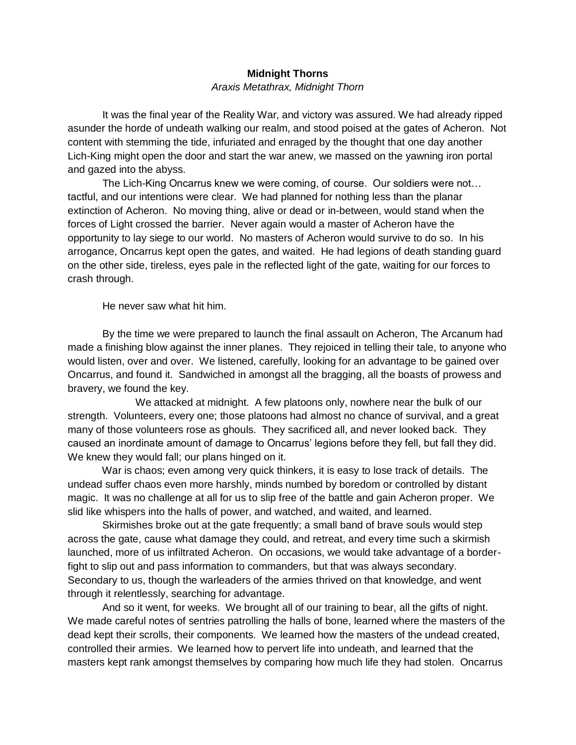# **Midnight Thorns**

# *Araxis Metathrax, Midnight Thorn*

 It was the final year of the Reality War, and victory was assured. We had already ripped asunder the horde of undeath walking our realm, and stood poised at the gates of Acheron. Not content with stemming the tide, infuriated and enraged by the thought that one day another Lich-King might open the door and start the war anew, we massed on the yawning iron portal and gazed into the abyss.

 The Lich-King Oncarrus knew we were coming, of course. Our soldiers were not… tactful, and our intentions were clear. We had planned for nothing less than the planar extinction of Acheron. No moving thing, alive or dead or in-between, would stand when the forces of Light crossed the barrier. Never again would a master of Acheron have the opportunity to lay siege to our world. No masters of Acheron would survive to do so. In his arrogance, Oncarrus kept open the gates, and waited. He had legions of death standing guard on the other side, tireless, eyes pale in the reflected light of the gate, waiting for our forces to crash through.

He never saw what hit him.

 By the time we were prepared to launch the final assault on Acheron, The Arcanum had made a finishing blow against the inner planes. They rejoiced in telling their tale, to anyone who would listen, over and over. We listened, carefully, looking for an advantage to be gained over Oncarrus, and found it. Sandwiched in amongst all the bragging, all the boasts of prowess and bravery, we found the key.

 We attacked at midnight. A few platoons only, nowhere near the bulk of our strength. Volunteers, every one; those platoons had almost no chance of survival, and a great many of those volunteers rose as ghouls. They sacrificed all, and never looked back. They caused an inordinate amount of damage to Oncarrus' legions before they fell, but fall they did. We knew they would fall; our plans hinged on it.

 War is chaos; even among very quick thinkers, it is easy to lose track of details. The undead suffer chaos even more harshly, minds numbed by boredom or controlled by distant magic. It was no challenge at all for us to slip free of the battle and gain Acheron proper. We slid like whispers into the halls of power, and watched, and waited, and learned.

 Skirmishes broke out at the gate frequently; a small band of brave souls would step across the gate, cause what damage they could, and retreat, and every time such a skirmish launched, more of us infiltrated Acheron. On occasions, we would take advantage of a borderfight to slip out and pass information to commanders, but that was always secondary. Secondary to us, though the warleaders of the armies thrived on that knowledge, and went through it relentlessly, searching for advantage.

 And so it went, for weeks. We brought all of our training to bear, all the gifts of night. We made careful notes of sentries patrolling the halls of bone, learned where the masters of the dead kept their scrolls, their components. We learned how the masters of the undead created, controlled their armies. We learned how to pervert life into undeath, and learned that the masters kept rank amongst themselves by comparing how much life they had stolen. Oncarrus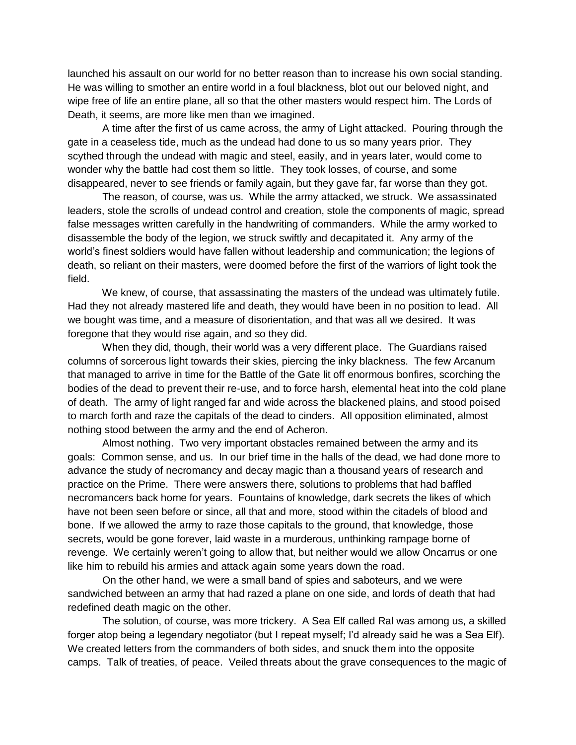launched his assault on our world for no better reason than to increase his own social standing. He was willing to smother an entire world in a foul blackness, blot out our beloved night, and wipe free of life an entire plane, all so that the other masters would respect him. The Lords of Death, it seems, are more like men than we imagined.

 A time after the first of us came across, the army of Light attacked. Pouring through the gate in a ceaseless tide, much as the undead had done to us so many years prior. They scythed through the undead with magic and steel, easily, and in years later, would come to wonder why the battle had cost them so little. They took losses, of course, and some disappeared, never to see friends or family again, but they gave far, far worse than they got.

 The reason, of course, was us. While the army attacked, we struck. We assassinated leaders, stole the scrolls of undead control and creation, stole the components of magic, spread false messages written carefully in the handwriting of commanders. While the army worked to disassemble the body of the legion, we struck swiftly and decapitated it. Any army of the world's finest soldiers would have fallen without leadership and communication; the legions of death, so reliant on their masters, were doomed before the first of the warriors of light took the field.

 We knew, of course, that assassinating the masters of the undead was ultimately futile. Had they not already mastered life and death, they would have been in no position to lead. All we bought was time, and a measure of disorientation, and that was all we desired. It was foregone that they would rise again, and so they did.

 When they did, though, their world was a very different place. The Guardians raised columns of sorcerous light towards their skies, piercing the inky blackness. The few Arcanum that managed to arrive in time for the Battle of the Gate lit off enormous bonfires, scorching the bodies of the dead to prevent their re-use, and to force harsh, elemental heat into the cold plane of death. The army of light ranged far and wide across the blackened plains, and stood poised to march forth and raze the capitals of the dead to cinders. All opposition eliminated, almost nothing stood between the army and the end of Acheron.

 Almost nothing. Two very important obstacles remained between the army and its goals: Common sense, and us. In our brief time in the halls of the dead, we had done more to advance the study of necromancy and decay magic than a thousand years of research and practice on the Prime. There were answers there, solutions to problems that had baffled necromancers back home for years. Fountains of knowledge, dark secrets the likes of which have not been seen before or since, all that and more, stood within the citadels of blood and bone. If we allowed the army to raze those capitals to the ground, that knowledge, those secrets, would be gone forever, laid waste in a murderous, unthinking rampage borne of revenge. We certainly weren't going to allow that, but neither would we allow Oncarrus or one like him to rebuild his armies and attack again some years down the road.

 On the other hand, we were a small band of spies and saboteurs, and we were sandwiched between an army that had razed a plane on one side, and lords of death that had redefined death magic on the other.

 The solution, of course, was more trickery. A Sea Elf called Ral was among us, a skilled forger atop being a legendary negotiator (but I repeat myself; I'd already said he was a Sea Elf). We created letters from the commanders of both sides, and snuck them into the opposite camps. Talk of treaties, of peace. Veiled threats about the grave consequences to the magic of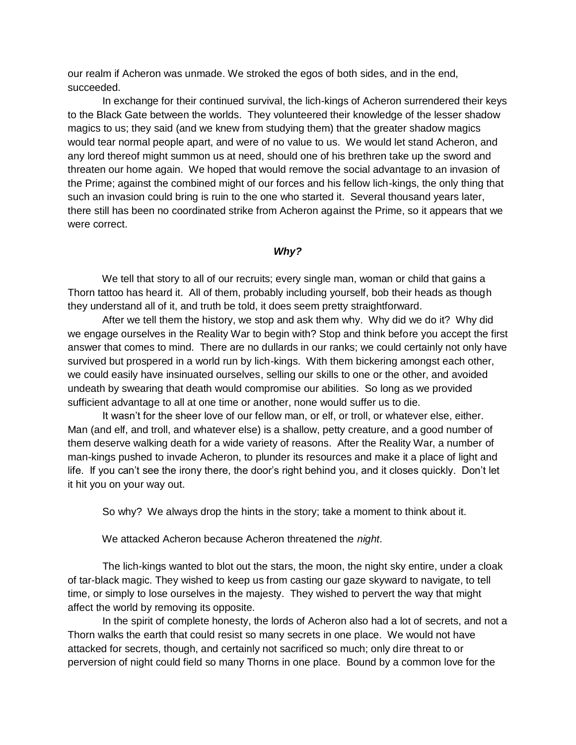our realm if Acheron was unmade. We stroked the egos of both sides, and in the end, succeeded.

 In exchange for their continued survival, the lich-kings of Acheron surrendered their keys to the Black Gate between the worlds. They volunteered their knowledge of the lesser shadow magics to us; they said (and we knew from studying them) that the greater shadow magics would tear normal people apart, and were of no value to us. We would let stand Acheron, and any lord thereof might summon us at need, should one of his brethren take up the sword and threaten our home again. We hoped that would remove the social advantage to an invasion of the Prime; against the combined might of our forces and his fellow lich-kings, the only thing that such an invasion could bring is ruin to the one who started it. Several thousand years later, there still has been no coordinated strike from Acheron against the Prime, so it appears that we were correct.

# *Why?*

We tell that story to all of our recruits; every single man, woman or child that gains a Thorn tattoo has heard it. All of them, probably including yourself, bob their heads as though they understand all of it, and truth be told, it does seem pretty straightforward.

 After we tell them the history, we stop and ask them why. Why did we do it? Why did we engage ourselves in the Reality War to begin with? Stop and think before you accept the first answer that comes to mind. There are no dullards in our ranks; we could certainly not only have survived but prospered in a world run by lich-kings. With them bickering amongst each other, we could easily have insinuated ourselves, selling our skills to one or the other, and avoided undeath by swearing that death would compromise our abilities. So long as we provided sufficient advantage to all at one time or another, none would suffer us to die.

 It wasn't for the sheer love of our fellow man, or elf, or troll, or whatever else, either. Man (and elf, and troll, and whatever else) is a shallow, petty creature, and a good number of them deserve walking death for a wide variety of reasons. After the Reality War, a number of man-kings pushed to invade Acheron, to plunder its resources and make it a place of light and life. If you can't see the irony there, the door's right behind you, and it closes quickly. Don't let it hit you on your way out.

So why? We always drop the hints in the story; take a moment to think about it.

We attacked Acheron because Acheron threatened the *night*.

 The lich-kings wanted to blot out the stars, the moon, the night sky entire, under a cloak of tar-black magic. They wished to keep us from casting our gaze skyward to navigate, to tell time, or simply to lose ourselves in the majesty. They wished to pervert the way that might affect the world by removing its opposite.

 In the spirit of complete honesty, the lords of Acheron also had a lot of secrets, and not a Thorn walks the earth that could resist so many secrets in one place. We would not have attacked for secrets, though, and certainly not sacrificed so much; only dire threat to or perversion of night could field so many Thorns in one place. Bound by a common love for the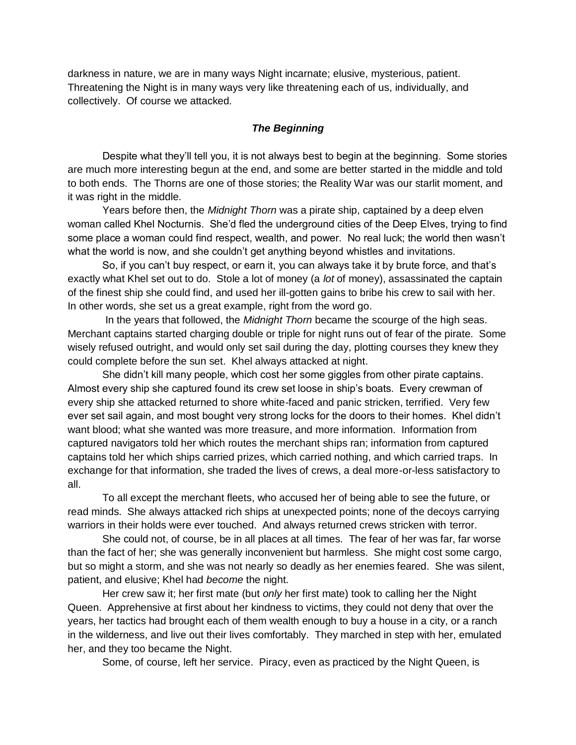darkness in nature, we are in many ways Night incarnate; elusive, mysterious, patient. Threatening the Night is in many ways very like threatening each of us, individually, and collectively. Of course we attacked.

# *The Beginning*

 Despite what they'll tell you, it is not always best to begin at the beginning. Some stories are much more interesting begun at the end, and some are better started in the middle and told to both ends. The Thorns are one of those stories; the Reality War was our starlit moment, and it was right in the middle.

 Years before then, the *Midnight Thorn* was a pirate ship, captained by a deep elven woman called Khel Nocturnis. She'd fled the underground cities of the Deep Elves, trying to find some place a woman could find respect, wealth, and power. No real luck; the world then wasn't what the world is now, and she couldn't get anything beyond whistles and invitations.

 So, if you can't buy respect, or earn it, you can always take it by brute force, and that's exactly what Khel set out to do. Stole a lot of money (a *lot* of money), assassinated the captain of the finest ship she could find, and used her ill-gotten gains to bribe his crew to sail with her. In other words, she set us a great example, right from the word go.

 In the years that followed, the *Midnight Thorn* became the scourge of the high seas. Merchant captains started charging double or triple for night runs out of fear of the pirate. Some wisely refused outright, and would only set sail during the day, plotting courses they knew they could complete before the sun set. Khel always attacked at night.

 She didn't kill many people, which cost her some giggles from other pirate captains. Almost every ship she captured found its crew set loose in ship's boats. Every crewman of every ship she attacked returned to shore white-faced and panic stricken, terrified. Very few ever set sail again, and most bought very strong locks for the doors to their homes. Khel didn't want blood; what she wanted was more treasure, and more information. Information from captured navigators told her which routes the merchant ships ran; information from captured captains told her which ships carried prizes, which carried nothing, and which carried traps. In exchange for that information, she traded the lives of crews, a deal more-or-less satisfactory to all.

 To all except the merchant fleets, who accused her of being able to see the future, or read minds. She always attacked rich ships at unexpected points; none of the decoys carrying warriors in their holds were ever touched. And always returned crews stricken with terror.

 She could not, of course, be in all places at all times. The fear of her was far, far worse than the fact of her; she was generally inconvenient but harmless. She might cost some cargo, but so might a storm, and she was not nearly so deadly as her enemies feared. She was silent, patient, and elusive; Khel had *become* the night.

 Her crew saw it; her first mate (but *only* her first mate) took to calling her the Night Queen. Apprehensive at first about her kindness to victims, they could not deny that over the years, her tactics had brought each of them wealth enough to buy a house in a city, or a ranch in the wilderness, and live out their lives comfortably. They marched in step with her, emulated her, and they too became the Night.

Some, of course, left her service. Piracy, even as practiced by the Night Queen, is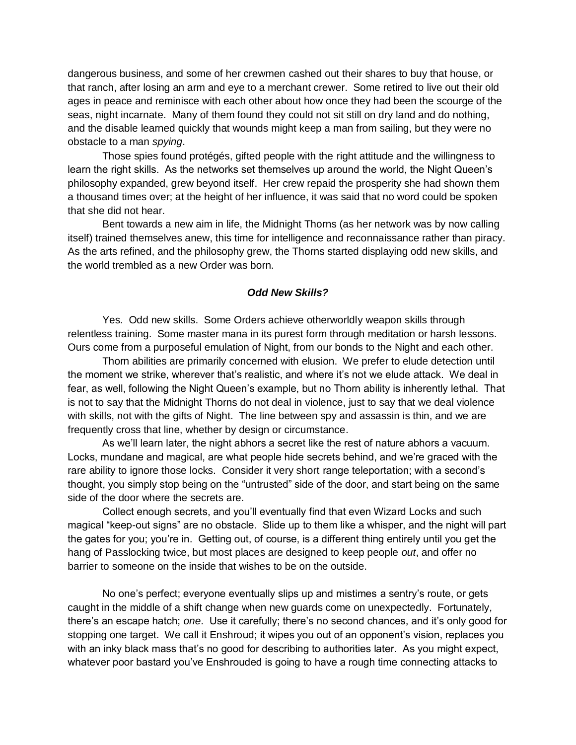dangerous business, and some of her crewmen cashed out their shares to buy that house, or that ranch, after losing an arm and eye to a merchant crewer. Some retired to live out their old ages in peace and reminisce with each other about how once they had been the scourge of the seas, night incarnate. Many of them found they could not sit still on dry land and do nothing, and the disable learned quickly that wounds might keep a man from sailing, but they were no obstacle to a man *spying*.

 Those spies found protégés, gifted people with the right attitude and the willingness to learn the right skills. As the networks set themselves up around the world, the Night Queen's philosophy expanded, grew beyond itself. Her crew repaid the prosperity she had shown them a thousand times over; at the height of her influence, it was said that no word could be spoken that she did not hear.

 Bent towards a new aim in life, the Midnight Thorns (as her network was by now calling itself) trained themselves anew, this time for intelligence and reconnaissance rather than piracy. As the arts refined, and the philosophy grew, the Thorns started displaying odd new skills, and the world trembled as a new Order was born.

## *Odd New Skills?*

 Yes. Odd new skills. Some Orders achieve otherworldly weapon skills through relentless training. Some master mana in its purest form through meditation or harsh lessons. Ours come from a purposeful emulation of Night, from our bonds to the Night and each other.

 Thorn abilities are primarily concerned with elusion. We prefer to elude detection until the moment we strike, wherever that's realistic, and where it's not we elude attack. We deal in fear, as well, following the Night Queen's example, but no Thorn ability is inherently lethal. That is not to say that the Midnight Thorns do not deal in violence, just to say that we deal violence with skills, not with the gifts of Night. The line between spy and assassin is thin, and we are frequently cross that line, whether by design or circumstance.

 As we'll learn later, the night abhors a secret like the rest of nature abhors a vacuum. Locks, mundane and magical, are what people hide secrets behind, and we're graced with the rare ability to ignore those locks. Consider it very short range teleportation; with a second's thought, you simply stop being on the "untrusted" side of the door, and start being on the same side of the door where the secrets are.

 Collect enough secrets, and you'll eventually find that even Wizard Locks and such magical "keep-out signs" are no obstacle. Slide up to them like a whisper, and the night will part the gates for you; you're in. Getting out, of course, is a different thing entirely until you get the hang of Passlocking twice, but most places are designed to keep people *out*, and offer no barrier to someone on the inside that wishes to be on the outside.

 No one's perfect; everyone eventually slips up and mistimes a sentry's route, or gets caught in the middle of a shift change when new guards come on unexpectedly. Fortunately, there's an escape hatch; *one*. Use it carefully; there's no second chances, and it's only good for stopping one target. We call it Enshroud; it wipes you out of an opponent's vision, replaces you with an inky black mass that's no good for describing to authorities later. As you might expect, whatever poor bastard you've Enshrouded is going to have a rough time connecting attacks to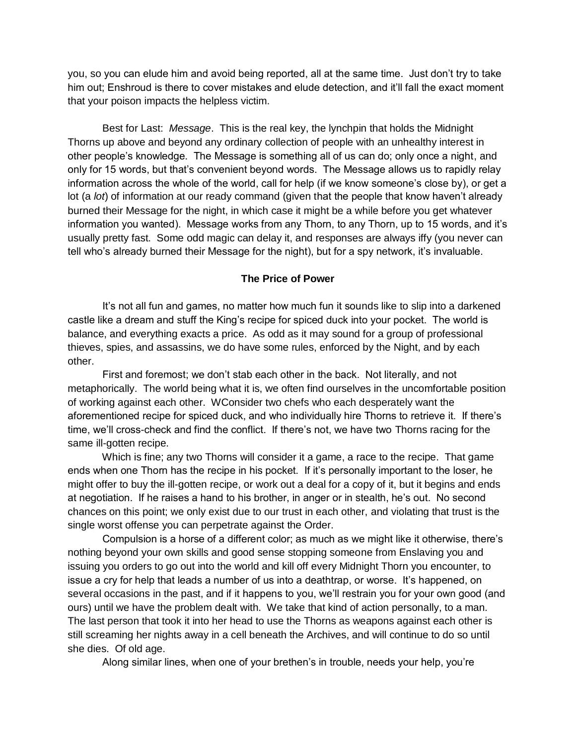you, so you can elude him and avoid being reported, all at the same time. Just don't try to take him out; Enshroud is there to cover mistakes and elude detection, and it'll fall the exact moment that your poison impacts the helpless victim.

 Best for Last: *Message*. This is the real key, the lynchpin that holds the Midnight Thorns up above and beyond any ordinary collection of people with an unhealthy interest in other people's knowledge. The Message is something all of us can do; only once a night, and only for 15 words, but that's convenient beyond words. The Message allows us to rapidly relay information across the whole of the world, call for help (if we know someone's close by), or get a lot (a *lot*) of information at our ready command (given that the people that know haven't already burned their Message for the night, in which case it might be a while before you get whatever information you wanted). Message works from any Thorn, to any Thorn, up to 15 words, and it's usually pretty fast. Some odd magic can delay it, and responses are always iffy (you never can tell who's already burned their Message for the night), but for a spy network, it's invaluable.

## **The Price of Power**

 It's not all fun and games, no matter how much fun it sounds like to slip into a darkened castle like a dream and stuff the King's recipe for spiced duck into your pocket. The world is balance, and everything exacts a price. As odd as it may sound for a group of professional thieves, spies, and assassins, we do have some rules, enforced by the Night, and by each other.

 First and foremost; we don't stab each other in the back. Not literally, and not metaphorically. The world being what it is, we often find ourselves in the uncomfortable position of working against each other. WConsider two chefs who each desperately want the aforementioned recipe for spiced duck, and who individually hire Thorns to retrieve it. If there's time, we'll cross-check and find the conflict. If there's not, we have two Thorns racing for the same ill-gotten recipe.

 Which is fine; any two Thorns will consider it a game, a race to the recipe. That game ends when one Thorn has the recipe in his pocket. If it's personally important to the loser, he might offer to buy the ill-gotten recipe, or work out a deal for a copy of it, but it begins and ends at negotiation. If he raises a hand to his brother, in anger or in stealth, he's out. No second chances on this point; we only exist due to our trust in each other, and violating that trust is the single worst offense you can perpetrate against the Order.

 Compulsion is a horse of a different color; as much as we might like it otherwise, there's nothing beyond your own skills and good sense stopping someone from Enslaving you and issuing you orders to go out into the world and kill off every Midnight Thorn you encounter, to issue a cry for help that leads a number of us into a deathtrap, or worse. It's happened, on several occasions in the past, and if it happens to you, we'll restrain you for your own good (and ours) until we have the problem dealt with. We take that kind of action personally, to a man. The last person that took it into her head to use the Thorns as weapons against each other is still screaming her nights away in a cell beneath the Archives, and will continue to do so until she dies. Of old age.

Along similar lines, when one of your brethen's in trouble, needs your help, you're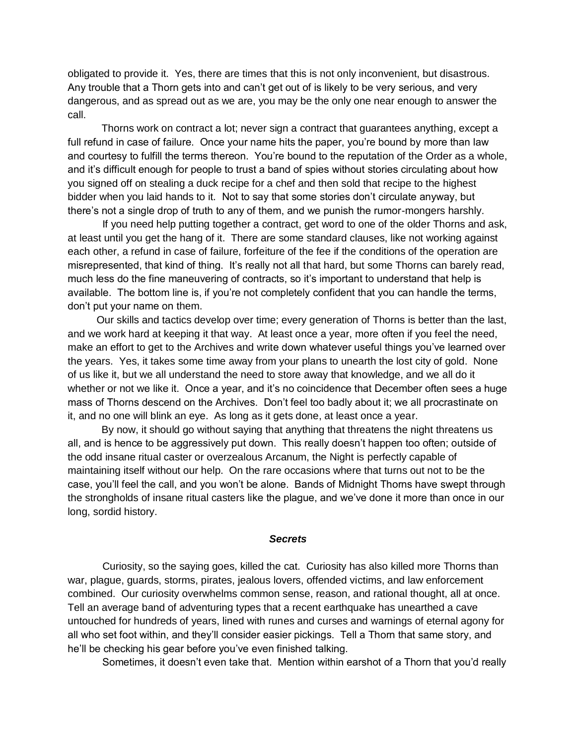obligated to provide it. Yes, there are times that this is not only inconvenient, but disastrous. Any trouble that a Thorn gets into and can't get out of is likely to be very serious, and very dangerous, and as spread out as we are, you may be the only one near enough to answer the call.

 Thorns work on contract a lot; never sign a contract that guarantees anything, except a full refund in case of failure. Once your name hits the paper, you're bound by more than law and courtesy to fulfill the terms thereon. You're bound to the reputation of the Order as a whole, and it's difficult enough for people to trust a band of spies without stories circulating about how you signed off on stealing a duck recipe for a chef and then sold that recipe to the highest bidder when you laid hands to it. Not to say that some stories don't circulate anyway, but there's not a single drop of truth to any of them, and we punish the rumor-mongers harshly.

 If you need help putting together a contract, get word to one of the older Thorns and ask, at least until you get the hang of it. There are some standard clauses, like not working against each other, a refund in case of failure, forfeiture of the fee if the conditions of the operation are misrepresented, that kind of thing. It's really not all that hard, but some Thorns can barely read, much less do the fine maneuvering of contracts, so it's important to understand that help is available. The bottom line is, if you're not completely confident that you can handle the terms, don't put your name on them.

 Our skills and tactics develop over time; every generation of Thorns is better than the last, and we work hard at keeping it that way. At least once a year, more often if you feel the need, make an effort to get to the Archives and write down whatever useful things you've learned over the years. Yes, it takes some time away from your plans to unearth the lost city of gold. None of us like it, but we all understand the need to store away that knowledge, and we all do it whether or not we like it. Once a year, and it's no coincidence that December often sees a huge mass of Thorns descend on the Archives. Don't feel too badly about it; we all procrastinate on it, and no one will blink an eye. As long as it gets done, at least once a year.

By now, it should go without saying that anything that threatens the night threatens us all, and is hence to be aggressively put down. This really doesn't happen too often; outside of the odd insane ritual caster or overzealous Arcanum, the Night is perfectly capable of maintaining itself without our help. On the rare occasions where that turns out not to be the case, you'll feel the call, and you won't be alone. Bands of Midnight Thorns have swept through the strongholds of insane ritual casters like the plague, and we've done it more than once in our long, sordid history.

#### *Secrets*

 Curiosity, so the saying goes, killed the cat. Curiosity has also killed more Thorns than war, plague, guards, storms, pirates, jealous lovers, offended victims, and law enforcement combined. Our curiosity overwhelms common sense, reason, and rational thought, all at once. Tell an average band of adventuring types that a recent earthquake has unearthed a cave untouched for hundreds of years, lined with runes and curses and warnings of eternal agony for all who set foot within, and they'll consider easier pickings. Tell a Thorn that same story, and he'll be checking his gear before you've even finished talking.

Sometimes, it doesn't even take that. Mention within earshot of a Thorn that you'd really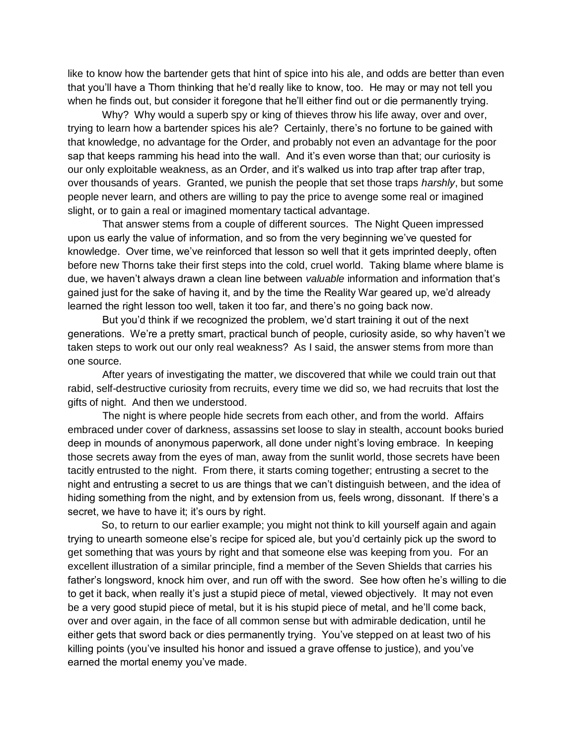like to know how the bartender gets that hint of spice into his ale, and odds are better than even that you'll have a Thorn thinking that he'd really like to know, too. He may or may not tell you when he finds out, but consider it foregone that he'll either find out or die permanently trying.

 Why? Why would a superb spy or king of thieves throw his life away, over and over, trying to learn how a bartender spices his ale? Certainly, there's no fortune to be gained with that knowledge, no advantage for the Order, and probably not even an advantage for the poor sap that keeps ramming his head into the wall. And it's even worse than that; our curiosity is our only exploitable weakness, as an Order, and it's walked us into trap after trap after trap, over thousands of years. Granted, we punish the people that set those traps *harshly*, but some people never learn, and others are willing to pay the price to avenge some real or imagined slight, or to gain a real or imagined momentary tactical advantage.

 That answer stems from a couple of different sources. The Night Queen impressed upon us early the value of information, and so from the very beginning we've quested for knowledge. Over time, we've reinforced that lesson so well that it gets imprinted deeply, often before new Thorns take their first steps into the cold, cruel world. Taking blame where blame is due, we haven't always drawn a clean line between *valuable* information and information that's gained just for the sake of having it, and by the time the Reality War geared up, we'd already learned the right lesson too well, taken it too far, and there's no going back now.

 But you'd think if we recognized the problem, we'd start training it out of the next generations. We're a pretty smart, practical bunch of people, curiosity aside, so why haven't we taken steps to work out our only real weakness? As I said, the answer stems from more than one source.

 After years of investigating the matter, we discovered that while we could train out that rabid, self-destructive curiosity from recruits, every time we did so, we had recruits that lost the gifts of night. And then we understood.

 The night is where people hide secrets from each other, and from the world. Affairs embraced under cover of darkness, assassins set loose to slay in stealth, account books buried deep in mounds of anonymous paperwork, all done under night's loving embrace. In keeping those secrets away from the eyes of man, away from the sunlit world, those secrets have been tacitly entrusted to the night. From there, it starts coming together; entrusting a secret to the night and entrusting a secret to us are things that we can't distinguish between, and the idea of hiding something from the night, and by extension from us, feels wrong, dissonant. If there's a secret, we have to have it; it's ours by right.

 So, to return to our earlier example; you might not think to kill yourself again and again trying to unearth someone else's recipe for spiced ale, but you'd certainly pick up the sword to get something that was yours by right and that someone else was keeping from you. For an excellent illustration of a similar principle, find a member of the Seven Shields that carries his father's longsword, knock him over, and run off with the sword. See how often he's willing to die to get it back, when really it's just a stupid piece of metal, viewed objectively. It may not even be a very good stupid piece of metal, but it is his stupid piece of metal, and he'll come back, over and over again, in the face of all common sense but with admirable dedication, until he either gets that sword back or dies permanently trying. You've stepped on at least two of his killing points (you've insulted his honor and issued a grave offense to justice), and you've earned the mortal enemy you've made.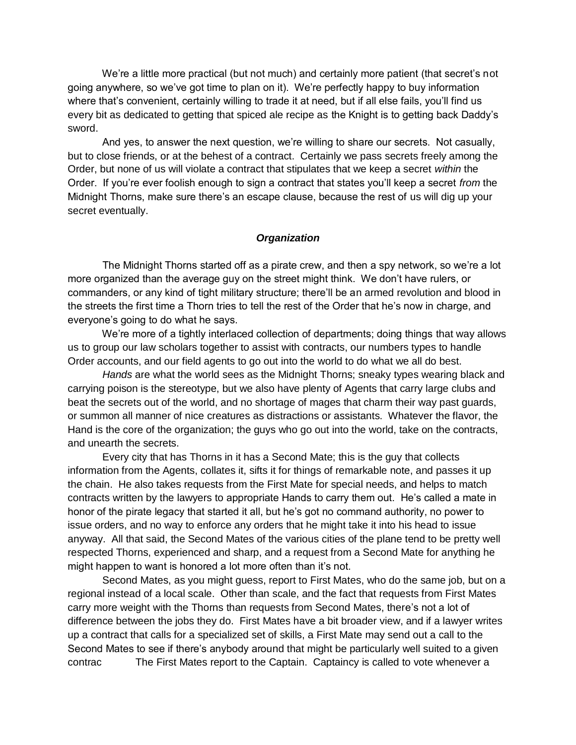We're a little more practical (but not much) and certainly more patient (that secret's not going anywhere, so we've got time to plan on it). We're perfectly happy to buy information where that's convenient, certainly willing to trade it at need, but if all else fails, you'll find us every bit as dedicated to getting that spiced ale recipe as the Knight is to getting back Daddy's sword.

 And yes, to answer the next question, we're willing to share our secrets. Not casually, but to close friends, or at the behest of a contract. Certainly we pass secrets freely among the Order, but none of us will violate a contract that stipulates that we keep a secret *within* the Order. If you're ever foolish enough to sign a contract that states you'll keep a secret *from* the Midnight Thorns, make sure there's an escape clause, because the rest of us will dig up your secret eventually.

## *Organization*

 The Midnight Thorns started off as a pirate crew, and then a spy network, so we're a lot more organized than the average guy on the street might think. We don't have rulers, or commanders, or any kind of tight military structure; there'll be an armed revolution and blood in the streets the first time a Thorn tries to tell the rest of the Order that he's now in charge, and everyone's going to do what he says.

 We're more of a tightly interlaced collection of departments; doing things that way allows us to group our law scholars together to assist with contracts, our numbers types to handle Order accounts, and our field agents to go out into the world to do what we all do best.

 *Hands* are what the world sees as the Midnight Thorns; sneaky types wearing black and carrying poison is the stereotype, but we also have plenty of Agents that carry large clubs and beat the secrets out of the world, and no shortage of mages that charm their way past guards, or summon all manner of nice creatures as distractions or assistants. Whatever the flavor, the Hand is the core of the organization; the guys who go out into the world, take on the contracts, and unearth the secrets.

 Every city that has Thorns in it has a Second Mate; this is the guy that collects information from the Agents, collates it, sifts it for things of remarkable note, and passes it up the chain. He also takes requests from the First Mate for special needs, and helps to match contracts written by the lawyers to appropriate Hands to carry them out. He's called a mate in honor of the pirate legacy that started it all, but he's got no command authority, no power to issue orders, and no way to enforce any orders that he might take it into his head to issue anyway. All that said, the Second Mates of the various cities of the plane tend to be pretty well respected Thorns, experienced and sharp, and a request from a Second Mate for anything he might happen to want is honored a lot more often than it's not.

 Second Mates, as you might guess, report to First Mates, who do the same job, but on a regional instead of a local scale. Other than scale, and the fact that requests from First Mates carry more weight with the Thorns than requests from Second Mates, there's not a lot of difference between the jobs they do. First Mates have a bit broader view, and if a lawyer writes up a contract that calls for a specialized set of skills, a First Mate may send out a call to the Second Mates to see if there's anybody around that might be particularly well suited to a given contrac The First Mates report to the Captain. Captaincy is called to vote whenever a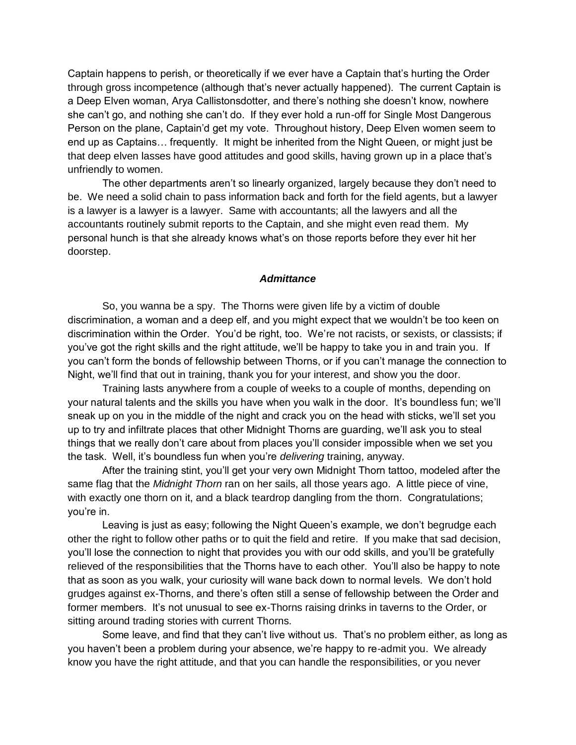Captain happens to perish, or theoretically if we ever have a Captain that's hurting the Order through gross incompetence (although that's never actually happened). The current Captain is a Deep Elven woman, Arya Callistonsdotter, and there's nothing she doesn't know, nowhere she can't go, and nothing she can't do. If they ever hold a run-off for Single Most Dangerous Person on the plane, Captain'd get my vote. Throughout history, Deep Elven women seem to end up as Captains… frequently. It might be inherited from the Night Queen, or might just be that deep elven lasses have good attitudes and good skills, having grown up in a place that's unfriendly to women.

 The other departments aren't so linearly organized, largely because they don't need to be. We need a solid chain to pass information back and forth for the field agents, but a lawyer is a lawyer is a lawyer is a lawyer. Same with accountants; all the lawyers and all the accountants routinely submit reports to the Captain, and she might even read them. My personal hunch is that she already knows what's on those reports before they ever hit her doorstep.

### *Admittance*

 So, you wanna be a spy. The Thorns were given life by a victim of double discrimination, a woman and a deep elf, and you might expect that we wouldn't be too keen on discrimination within the Order. You'd be right, too. We're not racists, or sexists, or classists; if you've got the right skills and the right attitude, we'll be happy to take you in and train you. If you can't form the bonds of fellowship between Thorns, or if you can't manage the connection to Night, we'll find that out in training, thank you for your interest, and show you the door.

 Training lasts anywhere from a couple of weeks to a couple of months, depending on your natural talents and the skills you have when you walk in the door. It's boundless fun; we'll sneak up on you in the middle of the night and crack you on the head with sticks, we'll set you up to try and infiltrate places that other Midnight Thorns are guarding, we'll ask you to steal things that we really don't care about from places you'll consider impossible when we set you the task. Well, it's boundless fun when you're *delivering* training, anyway.

 After the training stint, you'll get your very own Midnight Thorn tattoo, modeled after the same flag that the *Midnight Thorn* ran on her sails, all those years ago. A little piece of vine, with exactly one thorn on it, and a black teardrop dangling from the thorn. Congratulations; you're in.

 Leaving is just as easy; following the Night Queen's example, we don't begrudge each other the right to follow other paths or to quit the field and retire. If you make that sad decision, you'll lose the connection to night that provides you with our odd skills, and you'll be gratefully relieved of the responsibilities that the Thorns have to each other. You'll also be happy to note that as soon as you walk, your curiosity will wane back down to normal levels. We don't hold grudges against ex-Thorns, and there's often still a sense of fellowship between the Order and former members. It's not unusual to see ex-Thorns raising drinks in taverns to the Order, or sitting around trading stories with current Thorns.

 Some leave, and find that they can't live without us. That's no problem either, as long as you haven't been a problem during your absence, we're happy to re-admit you. We already know you have the right attitude, and that you can handle the responsibilities, or you never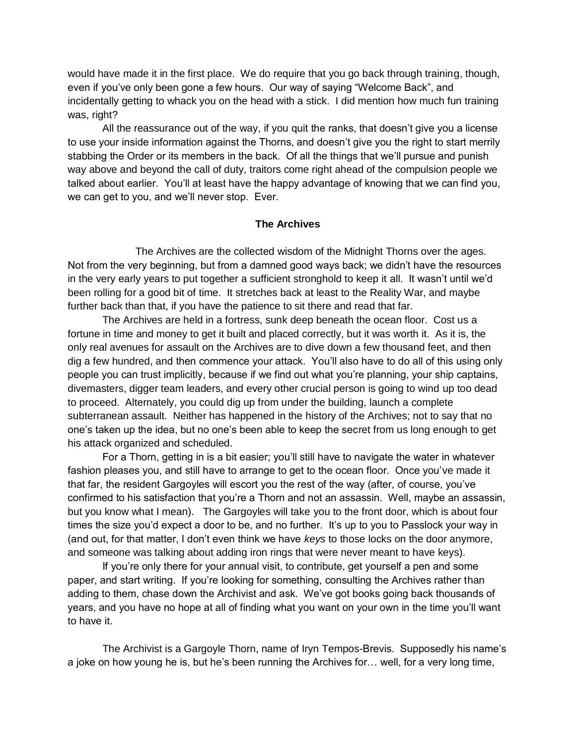would have made it in the first place. We do require that you go back through training, though, even if you've only been gone a few hours. Our way of saying "Welcome Back", and incidentally getting to whack you on the head with a stick. I did mention how much fun training was, right?

 All the reassurance out of the way, if you quit the ranks, that doesn't give you a license to use your inside information against the Thorns, and doesn't give you the right to start merrily stabbing the Order or its members in the back. Of all the things that we'll pursue and punish way above and beyond the call of duty, traitors come right ahead of the compulsion people we talked about earlier. You'll at least have the happy advantage of knowing that we can find you, we can get to you, and we'll never stop. Ever.

# **The Archives**

 The Archives are the collected wisdom of the Midnight Thorns over the ages. Not from the very beginning, but from a damned good ways back; we didn't have the resources in the very early years to put together a sufficient stronghold to keep it all. It wasn't until we'd been rolling for a good bit of time. It stretches back at least to the Reality War, and maybe further back than that, if you have the patience to sit there and read that far.

 The Archives are held in a fortress, sunk deep beneath the ocean floor. Cost us a fortune in time and money to get it built and placed correctly, but it was worth it. As it is, the only real avenues for assault on the Archives are to dive down a few thousand feet, and then dig a few hundred, and then commence your attack. You'll also have to do all of this using only people you can trust implicitly, because if we find out what you're planning, your ship captains, divemasters, digger team leaders, and every other crucial person is going to wind up too dead to proceed. Alternately, you could dig up from under the building, launch a complete subterranean assault. Neither has happened in the history of the Archives; not to say that no one's taken up the idea, but no one's been able to keep the secret from us long enough to get his attack organized and scheduled.

 For a Thorn, getting in is a bit easier; you'll still have to navigate the water in whatever fashion pleases you, and still have to arrange to get to the ocean floor. Once you've made it that far, the resident Gargoyles will escort you the rest of the way (after, of course, you've confirmed to his satisfaction that you're a Thorn and not an assassin. Well, maybe an assassin, but you know what I mean). The Gargoyles will take you to the front door, which is about four times the size you'd expect a door to be, and no further. It's up to you to Passlock your way in (and out, for that matter, I don't even think we have *keys* to those locks on the door anymore, and someone was talking about adding iron rings that were never meant to have keys).

 If you're only there for your annual visit, to contribute, get yourself a pen and some paper, and start writing. If you're looking for something, consulting the Archives rather than adding to them, chase down the Archivist and ask. We've got books going back thousands of years, and you have no hope at all of finding what you want on your own in the time you'll want to have it.

 The Archivist is a Gargoyle Thorn, name of Iryn Tempos-Brevis. Supposedly his name's a joke on how young he is, but he's been running the Archives for… well, for a very long time,